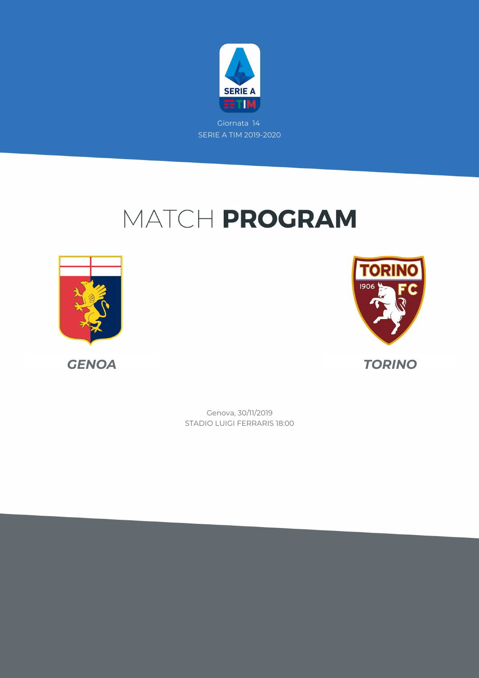

Giornata 14 SERIE A TIM 2019-2020

# MATCH PROGRAM



*GENOA TORINO*



STADIO LUIGI FERRARIS 18:00 Genova, 30/11/2019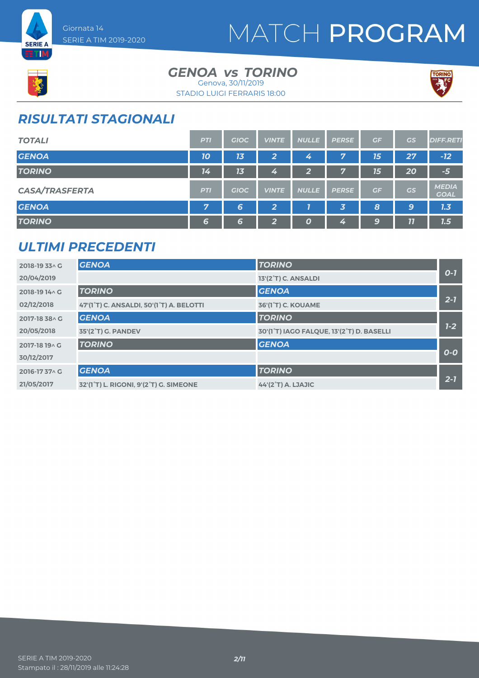



### GENOA *vs* TORINO Genova, 30/11/2019



#### STADIO LUIGI FERRARIS 18:00

### *RISULTATI STAGIONALI*

| <b>TOTALI</b>         | <b>PTI</b> | <b>GIOC</b> | <b>VINTE</b>   | <b>NULLE</b> | <b>PERSE</b>            | GF | <b>GS</b> | <b>DIFF.RETI</b>            |
|-----------------------|------------|-------------|----------------|--------------|-------------------------|----|-----------|-----------------------------|
| <b>GENOA</b>          | 10         | 13          | $\overline{2}$ | 4            | 7                       | 15 | 27        | $-12$                       |
| <b>TORINO</b>         | 14         | 13          | 4              | $\mathbf{2}$ | 7                       | 15 | 20        | $-5$                        |
| <b>CASA/TRASFERTA</b> | <b>PTI</b> | <b>GIOC</b> | <b>VINTE</b>   | <b>NULLE</b> | <b>PERSE</b>            | GF | GS        | <b>MEDIA</b><br><b>GOAL</b> |
| <b>GENOA</b>          | 7          | 6           | $\overline{2}$ |              | $\overline{\mathbf{3}}$ | 8  | 9         | 1.3                         |
| <b>TORINO</b>         | 6          | 6           | $\mathbf{2}$   | 0            | 4                       | 9  | 77        | 1.5                         |

#### *ULTIMI PRECEDENTI*

| 2018-19 33^ G  | <b>GENOA</b>                                                     | <b>TORINO</b>                             |         |
|----------------|------------------------------------------------------------------|-------------------------------------------|---------|
| 20/04/2019     |                                                                  | 13'(2°T) C. ANSALDI                       | $O-I$   |
| 2018-19 14 \ G | <b>TORINO</b>                                                    | <b>GENOA</b>                              |         |
| 02/12/2018     | 47'(1°T) C. ANSALDI, 50'(1°T) A. BELOTTI                         | <b>36'(1°T) C. KOUAME</b>                 | $2 - 7$ |
| 2017-18 38 A G | <b>GENOA</b>                                                     | <b>TORINO</b>                             |         |
| 20/05/2018     | 35'(2°T) G. PANDEV                                               | 30'(1°T) IAGO FALQUE, 13'(2°T) D. BASELLI | $1-2$   |
| 2017-18 19 A G | <b>TORINO</b>                                                    | <b>GENOA</b>                              |         |
| 30/12/2017     |                                                                  |                                           | $O-O$   |
| 2016-1737 \ G  | <b>GENOA</b>                                                     | <b>TORINO</b>                             |         |
| 21/05/2017     | 32'(1 <sup>°</sup> T) L. RIGONI, 9'(2 <sup>°</sup> T) G. SIMEONE | 44'(2°T) A. LJAJIC                        | $2 - 7$ |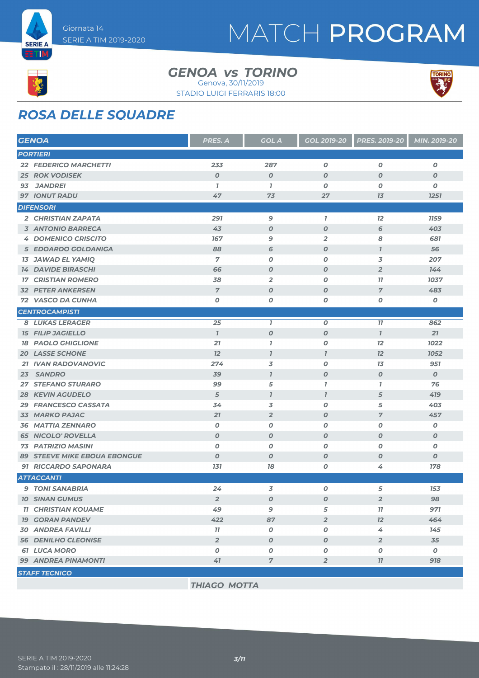



#### GENOA *vs* TORINO Genova, 30/11/2019





### *ROSA DELLE SQUADRE*

| <b>GENOA</b>                              | PRES. A          | <b>GOL A</b>     | <b>GOL 2019-20</b> | PRES. 2019-20    | MIN. 2019-20     |
|-------------------------------------------|------------------|------------------|--------------------|------------------|------------------|
| <b>PORTIERI</b>                           |                  |                  |                    |                  |                  |
| <b>22 FEDERICO MARCHETTI</b>              | 233              | 287              | $\boldsymbol{O}$   | $\boldsymbol{0}$ | $\boldsymbol{0}$ |
| <b>25 ROK VODISEK</b>                     | $\boldsymbol{O}$ | $\boldsymbol{0}$ | $\boldsymbol{O}$   | $\boldsymbol{O}$ | $\boldsymbol{O}$ |
| <b>JANDREI</b><br>93                      | $\overline{1}$   | $\overline{1}$   | 0                  | 0                | 0                |
| <b>97 IONUT RADU</b>                      | 47               | 73               | 27                 | 13               | 1251             |
| <b>DIFENSORI</b>                          |                  |                  |                    |                  |                  |
| 2 CHRISTIAN ZAPATA                        | 291              | 9                | $\mathbf{I}$       | 12               | <b>1159</b>      |
| <b>3 ANTONIO BARRECA</b>                  | 43               | $\boldsymbol{o}$ | $\boldsymbol{O}$   | 6                | 403              |
| <b>4 DOMENICO CRISCITO</b>                | 167              | 9                | $\overline{2}$     | 8                | 681              |
| 5 EDOARDO GOLDANIGA                       | 88               | 6                | $\boldsymbol{O}$   | $\mathbf{I}$     | 56               |
| <b>13 JAWAD EL YAMIQ</b>                  | 7                | 0                | $\boldsymbol{O}$   | 3                | 207              |
| <b>14 DAVIDE BIRASCHI</b>                 | 66               | $\boldsymbol{O}$ | $\boldsymbol{O}$   | $\overline{2}$   | 144              |
| <b>CRISTIAN ROMERO</b><br>17 <sup>7</sup> | 38               | $\overline{2}$   | O                  | 11               | 1037             |
| <b>32 PETER ANKERSEN</b>                  | $\overline{7}$   | $\boldsymbol{O}$ | $\boldsymbol{O}$   | $\overline{7}$   | 483              |
| <b>72 VASCO DA CUNHA</b>                  | $\boldsymbol{O}$ | O                | $\boldsymbol{O}$   | 0                | $\pmb{o}$        |
| <b>CENTROCAMPISTI</b>                     |                  |                  |                    |                  |                  |
| <b>8 LUKAS LERAGER</b>                    | 25               | $\overline{1}$   | $\pmb{o}$          | 77               | 862              |
| <b>15 FILIP JAGIELLO</b>                  | $\overline{1}$   | $\boldsymbol{o}$ | $\boldsymbol{o}$   | $\overline{1}$   | 21               |
| <b>18 PAOLO GHIGLIONE</b>                 | 21               | $\overline{1}$   | $\boldsymbol{o}$   | 12               | 1022             |
| <b>20 LASSE SCHONE</b>                    | 12               | $\mathbf{I}$     | $\overline{I}$     | 12               | 1052             |
| 21 IVAN RADOVANOVIC                       | 274              | 3                | $\boldsymbol{O}$   | 13               | 951              |
| <b>SANDRO</b><br>23                       | 39               | $\overline{1}$   | $\boldsymbol{O}$   | $\boldsymbol{O}$ | $\boldsymbol{0}$ |
| <b>27 STEFANO STURARO</b>                 | 99               | 5                | $\mathbf{I}$       | $\mathbf{7}$     | 76               |
| <b>28 KEVIN AGUDELO</b>                   | 5                | $\mathbf{7}$     | $\mathbf{I}$       | 5                | 419              |
| 29 FRANCESCO CASSATA                      | 34               | 3                | O                  | 5                | 403              |
| 33 MARKO PAJAC                            | 21               | $\overline{2}$   | $\boldsymbol{O}$   | $\overline{7}$   | 457              |
| <b>36 MATTIA ZENNARO</b>                  | $\boldsymbol{O}$ | 0                | $\boldsymbol{O}$   | O                | $\pmb{o}$        |
| <b>65 NICOLO' ROVELLA</b>                 | $\boldsymbol{O}$ | $\boldsymbol{0}$ | $\boldsymbol{O}$   | $\boldsymbol{O}$ | $\boldsymbol{o}$ |
| 73 PATRIZIO MASINI                        | $\boldsymbol{O}$ | $\boldsymbol{O}$ | $\boldsymbol{O}$   | O                | 0                |
| <b>89 STEEVE MIKE EBOUA EBONGUE</b>       | $\boldsymbol{O}$ | $\boldsymbol{0}$ | $\boldsymbol{O}$   | $\boldsymbol{O}$ | $\boldsymbol{0}$ |
| 91 RICCARDO SAPONARA                      | 131              | 18               | 0                  | 4                | 178              |
| <b>ATTACCANTI</b>                         |                  |                  |                    |                  |                  |
| <b>9 TONI SANABRIA</b>                    | 24               | 3                | O                  | 5                | 153              |
| <b>10 SINAN GUMUS</b>                     | $\overline{2}$   | 0                | 0                  | $\overline{2}$   | 98               |
| <b>11 CHRISTIAN KOUAME</b>                | 49               | 9                | 5                  | 77               | 971              |
| <b>19 GORAN PANDEV</b>                    | 422              | 87               | $\overline{2}$     | 12               | 464              |
| <b>30 ANDREA FAVILLI</b>                  | 77               | $\pmb{o}$        | $\pmb{o}$          | 4                | 145              |
| <b>56 DENILHO CLEONISE</b>                | $\overline{2}$   | $\boldsymbol{o}$ | $\boldsymbol{O}$   | $\overline{2}$   | 35               |
| <b>61 LUCA MORO</b>                       | $\boldsymbol{o}$ | 0                | 0                  | 0                | $\boldsymbol{o}$ |
| 99 ANDREA PINAMONTI                       | 41               | $\overline{7}$   | $\overline{2}$     | 77               | 918              |
| <b>STAFF TECNICO</b>                      |                  |                  |                    |                  |                  |
|                                           |                  |                  |                    |                  |                  |

*THIAGO MOTTA*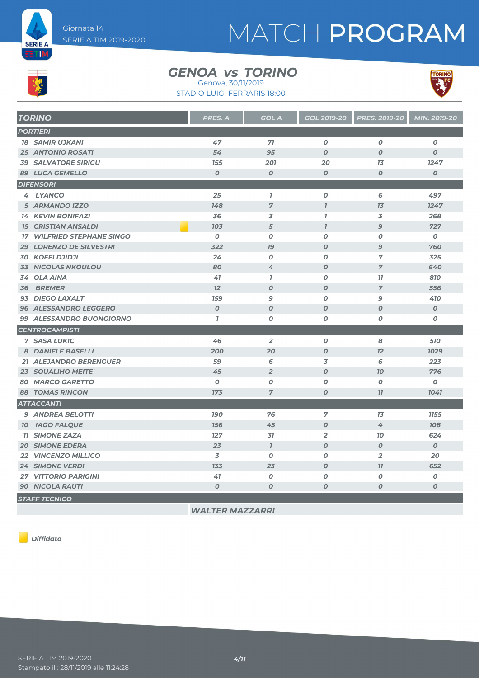



#### GENOA *vs* TORINO

STADIO LUIGI FERRARIS 18:00 Genova, 30/11/2019



| <b>TORINO</b>                     | <b>PRES. A</b>   | <b>GOL A</b>     | GOL 2019-20      | <b>PRES. 2019-20</b> | MIN. 2019-20     |
|-----------------------------------|------------------|------------------|------------------|----------------------|------------------|
| <b>PORTIERI</b>                   |                  |                  |                  |                      |                  |
| <b>18 SAMIR UJKANI</b>            | 47               | 71               | $\boldsymbol{O}$ | $\boldsymbol{O}$     | $\boldsymbol{O}$ |
| <b>25 ANTONIO ROSATI</b>          | 54               | 95               | $\boldsymbol{O}$ | $\boldsymbol{O}$     | $\boldsymbol{o}$ |
| <b>39 SALVATORE SIRIGU</b>        | 155              | 201              | 20               | 13                   | 1247             |
| <b>89 LUCA GEMELLO</b>            | $\boldsymbol{0}$ | $\boldsymbol{0}$ | $\boldsymbol{O}$ | $\boldsymbol{O}$     | $\boldsymbol{O}$ |
| <b>DIFENSORI</b>                  |                  |                  |                  |                      |                  |
| 4 LYANCO                          | 25               | $\mathbf{I}$     | $\boldsymbol{O}$ | 6                    | 497              |
| 5 ARMANDO IZZO                    | 148              | $\overline{7}$   | $\overline{I}$   | 13                   | 1247             |
| <b>14 KEVIN BONIFAZI</b>          | 36               | 3                | $\mathbf{I}$     | 3                    | 268              |
| <b>15 CRISTIAN ANSALDI</b>        | 103              | 5                | $\overline{I}$   | $\overline{9}$       | 727              |
| <b>17 WILFRIED STEPHANE SINGO</b> | $\boldsymbol{0}$ | $\boldsymbol{0}$ | $\boldsymbol{o}$ | $\boldsymbol{O}$     | $\boldsymbol{0}$ |
| <b>29 LORENZO DE SILVESTRI</b>    | 322              | 79               | $\boldsymbol{O}$ | 9                    | 760              |
| <b>30 KOFFI DJIDJI</b>            | 24               | $\boldsymbol{0}$ | $\boldsymbol{o}$ | $\overline{7}$       | 325              |
| <b>33 NICOLAS NKOULOU</b>         | 80               | 4                | $\boldsymbol{O}$ | $\overline{7}$       | 640              |
| 34 OLA AINA                       | 41               | $\mathbf{7}$     | $\boldsymbol{O}$ | 77                   | 810              |
| <b>BREMER</b><br>36               | 12               | $\boldsymbol{0}$ | $\boldsymbol{O}$ | $\overline{7}$       | 556              |
| 93 DIEGO LAXALT                   | <b>159</b>       | 9                | 0                | 9                    | 410              |
| <b>96 ALESSANDRO LEGGERO</b>      | $\overline{O}$   | $\boldsymbol{O}$ | $\boldsymbol{O}$ | $\boldsymbol{O}$     | $\boldsymbol{0}$ |
| 99 ALESSANDRO BUONGIORNO          | $\mathbf{7}$     | 0                | $\boldsymbol{O}$ | 0                    | 0                |
| <b>CENTROCAMPISTI</b>             |                  |                  |                  |                      |                  |
| <b>7 SASA LUKIC</b>               | 46               | $\overline{2}$   | $\boldsymbol{o}$ | 8                    | 510              |
| 8 DANIELE BASELLI                 | 200              | 20               | $\boldsymbol{O}$ | 12                   | 1029             |
| 21 ALEJANDRO BERENGUER            | 59               | 6                | 3                | 6                    | 223              |
| <b>23 SOUALIHO MEITE'</b>         | 45               | $\overline{2}$   | $\boldsymbol{O}$ | 70                   | 776              |
| <b>80 MARCO GARETTO</b>           | $\boldsymbol{O}$ | 0                | 0                | 0                    | 0                |
| <b>88 TOMAS RINCON</b>            | 173              | $\overline{7}$   | $\boldsymbol{O}$ | 77                   | 1041             |
| <b>ATTACCANTI</b>                 |                  |                  |                  |                      |                  |
| 9 ANDREA BELOTTI                  | <b>190</b>       | 76               | $\overline{7}$   | 13                   | 1155             |
| <b>10 IAGO FALQUE</b>             | 156              | 45               | $\boldsymbol{o}$ | 4                    | <b>108</b>       |
| <b>11 SIMONE ZAZA</b>             | 127              | 31               | $\overline{2}$   | 70                   | 624              |
| <b>20 SIMONE EDERA</b>            | 23               | $\mathbf{I}$     | $\boldsymbol{O}$ | $\boldsymbol{O}$     | $\boldsymbol{0}$ |
| 22 VINCENZO MILLICO               | 3                | $\boldsymbol{0}$ | 0                | $\overline{2}$       | 20               |
| <b>24 SIMONE VERDI</b>            | 133              | 23               | $\boldsymbol{O}$ | 77                   | 652              |
| <b>27 VITTORIO PARIGINI</b>       | 41               | $\boldsymbol{0}$ | $\boldsymbol{O}$ | O                    | $\boldsymbol{0}$ |
| <b>90 NICOLA RAUTI</b>            | $\boldsymbol{O}$ | $\boldsymbol{0}$ | $\boldsymbol{O}$ | 0                    | $\boldsymbol{o}$ |
| <b>STAFF TECNICO</b>              |                  |                  |                  |                      |                  |

*WALTER MAZZARRI*

*Diffidato*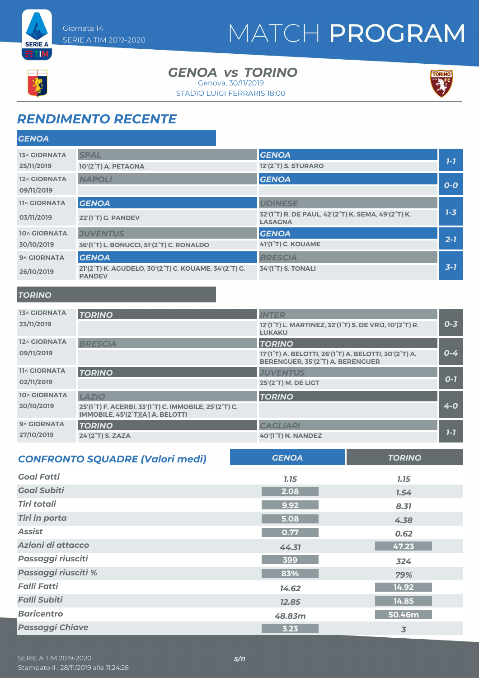



GENOA *vs* TORINO STADIO LUIGI FERRARIS 18:00 Genova, 30/11/2019



### *RENDIMENTO RECENTE*

| <b>GENOA</b>        |                                                                       |                                                                      |         |
|---------------------|-----------------------------------------------------------------------|----------------------------------------------------------------------|---------|
| <b>13^ GIORNATA</b> | <b>SPAL</b>                                                           | <b>GENOA</b>                                                         |         |
| 25/11/2019          | 10'(2°T) A. PETAGNA                                                   | 12'(2 <sup>°</sup> T) S. STURARO                                     | $1 - 7$ |
| 12^ GIORNATA        | <b>NAPOLI</b>                                                         | <b>GENOA</b>                                                         |         |
| 09/11/2019          |                                                                       |                                                                      | $O-O$   |
| <b>11^ GIORNATA</b> | <b>GENOA</b>                                                          | <b>UDINESE</b>                                                       |         |
| 03/11/2019          | <b>22'(1<sup>°</sup>T) G. PANDEV</b>                                  | 32'(1°T) R. DE PAUL, 42'(2°T) K. SEMA, 49'(2°T) K.<br><b>LASAGNA</b> | $7 - 3$ |
| 10^ GIORNATA        | <b>JUVENTUS</b>                                                       | <b>GENOA</b>                                                         |         |
| 30/10/2019          | 36'(1°T) L. BONUCCI, 51'(2°T) C. RONALDO                              | 41'(1°T) C. KOUAME                                                   | $2 - 7$ |
| 9^ GIORNATA         | <b>GENOA</b>                                                          | <b>BRESCIA</b>                                                       |         |
| 26/10/2019          | 21'(2°T) K. AGUDELO, 30'(2°T) C. KOUAME, 34'(2°T) G.<br><b>PANDEV</b> | <b>34'(1°T) S. TONALI</b>                                            | $3 - 7$ |
| <b>TORINO</b>       |                                                                       |                                                                      |         |

| <b>13^ GIORNATA</b> | <b>TORINO</b>                                                                                                                                 | <b>INTER</b>                                                                                                                     |         |
|---------------------|-----------------------------------------------------------------------------------------------------------------------------------------------|----------------------------------------------------------------------------------------------------------------------------------|---------|
| 23/11/2019          |                                                                                                                                               | 12'(1 <sup>°</sup> T) L. MARTINEZ, 32'(1 <sup>°</sup> T) S. DE VRIJ, 10'(2 <sup>°</sup> T) R.<br><b>LUKAKU</b>                   | $0 - 3$ |
| 12^ GIORNATA        | <b>BRESCIA</b>                                                                                                                                | <b>TORINO</b>                                                                                                                    |         |
| 09/11/2019          |                                                                                                                                               | 17'(1 <sup>°</sup> T) A. BELOTTI, 26'(1 <sup>°</sup> T) A. BELOTTI, 30'(2 <sup>°</sup> T) A.<br>BERENGUER, 35'(2°T) A. BERENGUER | $0 - 4$ |
| <b>11^ GIORNATA</b> | <b>TORINO</b>                                                                                                                                 | <b>JUVENTUS</b>                                                                                                                  |         |
| 02/11/2019          |                                                                                                                                               | 25'(2°T) M. DE LIGT                                                                                                              | $O-7$   |
| 10^ GIORNATA        | <b>LAZIO</b>                                                                                                                                  | <b>TORINO</b>                                                                                                                    |         |
| 30/10/2019          | 25'(1 <sup>°</sup> T) F. ACERBI, 33'(1 <sup>°</sup> T) C. IMMOBILE, 25'(2 <sup>°</sup> T) C.<br>IMMOBILE, 45'(2 <sup>°</sup> T)[A] A. BELOTTI |                                                                                                                                  | $4 - 0$ |
| 9^ GIORNATA         | <b>TORINO</b>                                                                                                                                 | <b>CAGLIARI</b>                                                                                                                  |         |
| 27/10/2019          | $24'(2°T)$ S. ZAZA                                                                                                                            | 40'(1°T) N. NANDEZ                                                                                                               | $7 - 7$ |

| <b>CONFRONTO SQUADRE (Valori medi)</b> | <b>GENOA</b> | <b>TORINO</b> |
|----------------------------------------|--------------|---------------|
| <b>Goal Fatti</b>                      | 7.15         | 7.15          |
| <b>Goal Subiti</b>                     | 2.08         | 1.54          |
| <b>Tiri totali</b>                     | 9.92         | 8.31          |
| <b>Tiri in porta</b>                   | 5.08         | 4.38          |
| <b>Assist</b>                          | 0.77         | 0.62          |
| Azioni di attacco                      | 44.31        | 47.23         |
| Passaggi riusciti                      | 399          | 324           |
| Passaggi riusciti %                    | 83%          | 79%           |
| <b>Falli Fatti</b>                     | 14.62        | 14.92         |
| <b>Falli Subiti</b>                    | 12.85        | 14.85         |
| <b>Baricentro</b>                      | 48.83m       | 50.46m        |
| <b>Passaggi Chiave</b>                 | 3.23         | 3             |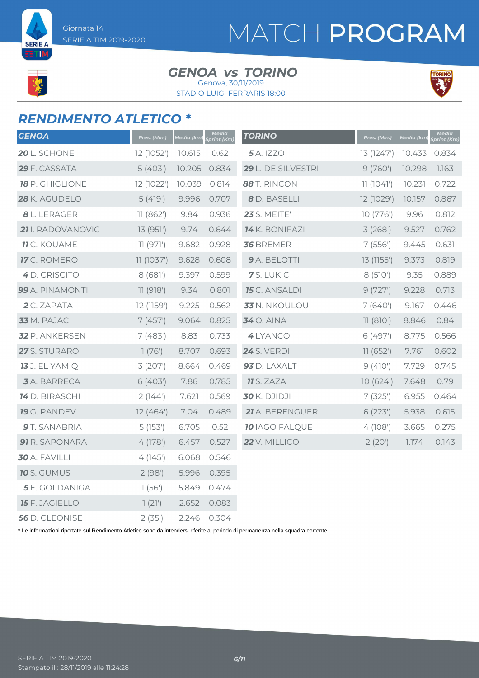Giornata 14 SERIE A TIM 2019-2020

**SERIE A ETIM** 

# MATCH PROGRAM

#### GENOA *vs* TORINO Genova, 30/11/2019

STADIO LUIGI FERRARIS 18:00



### *RENDIMENTO ATLETICO \**

| <b>GENOA</b>           | Pres. (Min.) | Media (km) | Media<br>Sprint (Km) | <b>TORINO</b>         | Pres. (Min.) | Media (km) | Media<br>Sprint (Km) |
|------------------------|--------------|------------|----------------------|-----------------------|--------------|------------|----------------------|
| 20 L. SCHONE           | 12 (1052')   | 10.615     | 0.62                 | <b>5</b> A. IZZO      | 13 (1247')   | 10.433     | 0.834                |
| 29 F. CASSATA          | 5(403)       | 10.205     | 0.834                | 29 L. DE SILVESTRI    | 9(760)       | 10.298     | 1.163                |
| <b>18</b> P. GHIGLIONE | 12 (1022')   | 10.039     | 0.814                | 88 T. RINCON          | 11(1041)     | 10.231     | 0.722                |
| 28 K. AGUDELO          | 5(419')      | 9.996      | 0.707                | 8 D. BASELLI          | 12 (1029')   | 10.157     | 0.867                |
| 8 L. LERAGER           | 11(862)      | 9.84       | 0.936                | <b>23</b> S. MEITE'   | 10(776)      | 9.96       | 0.812                |
| 21 I. RADOVANOVIC      | 13 (951')    | 9.74       | 0.644                | 14 K. BONIFAZI        | 3(268)       | 9.527      | 0.762                |
| <b>11</b> C. KOUAME    | 11 (971')    | 9.682      | 0.928                | <b>36 BREMER</b>      | 7(556)       | 9.445      | 0.631                |
| 17 C. ROMERO           | 11(1037)     | 9.628      | 0.608                | 9 A. BELOTTI          | 13 (1155')   | 9.373      | 0.819                |
| 4 D. CRISCITO          | 8(681)       | 9.397      | 0.599                | 7S. LUKIC             | 8(510)       | 9.35       | 0.889                |
| 99 A. PINAMONTI        | 11(918')     | 9.34       | 0.801                | <b>15</b> C. ANSALDI  | 9(727)       | 9.228      | 0.713                |
| 2 C. ZAPATA            | 12 (1159')   | 9.225      | 0.562                | 33 N. NKOULOU         | 7(640)       | 9.167      | 0.446                |
| 33 M. PAJAC            | 7(457)       | 9.064      | 0.825                | <b>34</b> O. AINA     | 11(810')     | 8.846      | 0.84                 |
| 32 P. ANKERSEN         | 7(483)       | 8.83       | 0.733                | 4 LYANCO              | 6(497)       | 8.775      | 0.566                |
| 27 S. STURARO          | 1(76)        | 8.707      | 0.693                | <b>24</b> S. VERDI    | 11(652)      | 7.761      | 0.602                |
| <b>13</b> J. EL YAMIQ  | 3(207)       | 8.664      | 0.469                | 93 D. LAXALT          | 9(410)       | 7.729      | 0.745                |
| <b>3</b> A. BARRECA    | 6(403)       | 7.86       | 0.785                | <b>11</b> S. ZAZA     | 10(624)      | 7.648      | 0.79                 |
| <b>14</b> D. BIRASCHI  | 2(144)       | 7.621      | 0.569                | <b>30</b> K. DJIDJI   | 7(325)       | 6.955      | 0.464                |
| 19 G. PANDEV           | 12(464)      | 7.04       | 0.489                | 21 A. BERENGUER       | 6(223)       | 5.938      | 0.615                |
| 9 T. SANABRIA          | 5(153)       | 6.705      | 0.52                 | <b>10 IAGO FALQUE</b> | 4(108)       | 3.665      | 0.275                |
| 91 R. SAPONARA         | 4(178)       | 6.457      | 0.527                | 22 V. MILLICO         | 2(20')       | 1.174      | 0.143                |
| 30 A. FAVILLI          | 4(145)       | 6.068      | 0.546                |                       |              |            |                      |
| <b>10</b> S. GUMUS     | 2(98)        | 5.996      | 0.395                |                       |              |            |                      |
| <b>5</b> E. GOLDANIGA  | 1(56)        | 5.849      | 0.474                |                       |              |            |                      |
| <b>15</b> F. JAGIELLO  | 1(21)        | 2.652      | 0.083                |                       |              |            |                      |
| 56 D. CLEONISE         | 2(35')       | 2.246      | 0.304                |                       |              |            |                      |

\* Le informazioni riportate sul Rendimento Atletico sono da intendersi riferite al periodo di permanenza nella squadra corrente.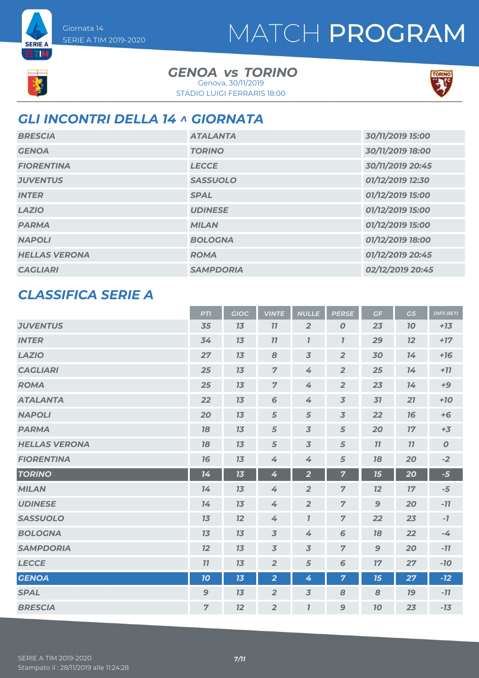

**SERIE A ETIM** 

#### GENOA *vs* TORINO STADIO LUIGI FERRARIS 18:00 Genova, 30/11/2019



### *GLI INCONTRI DELLA 14 ^ GIORNATA*

| <b>BRESCIA</b>       | <b>ATALANTA</b>  | 30/11/2019 15:00 |
|----------------------|------------------|------------------|
| <b>GENOA</b>         | <b>TORINO</b>    | 30/11/2019 18:00 |
| <b>FIORENTINA</b>    | <b>LECCE</b>     | 30/11/2019 20:45 |
| <b>JUVENTUS</b>      | <b>SASSUOLO</b>  | 01/12/2019 12:30 |
| <b>INTER</b>         | <b>SPAL</b>      | 01/12/2019 15:00 |
| <b>LAZIO</b>         | <b>UDINESE</b>   | 01/12/2019 15:00 |
| <b>PARMA</b>         | <b>MILAN</b>     | 01/12/2019 15:00 |
| <b>NAPOLI</b>        | <b>BOLOGNA</b>   | 01/12/2019 18:00 |
| <b>HELLAS VERONA</b> | <b>ROMA</b>      | 01/12/2019 20:45 |
| <b>CAGLIARI</b>      | <b>SAMPDORIA</b> | 02/12/2019 20:45 |

#### *CLASSIFICA SERIE A*

|                      | <b>PTI</b>       | <b>GIOC</b> | <b>VINTE</b>   | <b>NULLE</b>                | <b>PERSE</b>             | GF           | GS        | <b>DIFF.RETI</b> |
|----------------------|------------------|-------------|----------------|-----------------------------|--------------------------|--------------|-----------|------------------|
| <b>JUVENTUS</b>      | 35               | 13          | 11             | $\overline{2}$              | 0                        | 23           | <b>10</b> | $+13$            |
| <b>INTER</b>         | 34               | 13          | 77             | $\boldsymbol{\overline{I}}$ | $\overline{I}$           | 29           | 12        | $+17$            |
| <b>LAZIO</b>         | 27               | 13          | 8              | $\overline{3}$              | $\overline{2}$           | 30           | 14        | $+16$            |
| <b>CAGLIARI</b>      | 25               | 13          | $\overline{7}$ | 4                           | $\overline{2}$           | 25           | 14        | $+77$            |
| <b>ROMA</b>          | 25               | 13          | $\overline{7}$ | 4                           | $\overline{2}$           | 23           | 14        | $+9$             |
| <b>ATALANTA</b>      | 22               | 13          | 6              | 4                           | $\overline{3}$           | 31           | 21        | $+10$            |
| <b>NAPOLI</b>        | 20               | 13          | 5              | 5                           | $\overline{\mathcal{S}}$ | 22           | 16        | $+6$             |
| <b>PARMA</b>         | 78               | 13          | 5              | $\overline{3}$              | 5                        | 20           | 17        | $+3$             |
| <b>HELLAS VERONA</b> | 18               | 13          | 5              | $\overline{3}$              | 5                        | 77           | 11        | $\boldsymbol{O}$ |
| <b>FIORENTINA</b>    | 16               | 13          | 4              | 4                           | 5                        | 18           | 20        | $-2$             |
| <b>TORINO</b>        | 14               | 13          | 4              | $\overline{2}$              | $\overline{7}$           | 15           | 20        | $-5$             |
| <b>MILAN</b>         | 14               | 13          | 4              | $\overline{2}$              | $\overline{7}$           | 12           | 17        | $-5$             |
| <b>UDINESE</b>       | 14               | 13          | 4              | $\overline{2}$              | $\overline{7}$           | $\mathbf{9}$ | 20        | $-11$            |
| <b>SASSUOLO</b>      | 13               | 12          | 4              | $\overline{I}$              | $\overline{7}$           | 22           | 23        | $-7$             |
| <b>BOLOGNA</b>       | 13               | 13          | $\overline{3}$ | 4                           | 6                        | 18           | 22        | $-4$             |
| <b>SAMPDORIA</b>     | 12               | 13          | $\overline{3}$ | $\overline{3}$              | $\overline{7}$           | 9            | 20        | $-77$            |
| <b>LECCE</b>         | 11               | 13          | $\overline{2}$ | 5                           | 6                        | 17           | 27        | $-10$            |
| <b>GENOA</b>         | 10               | 13          | $\overline{2}$ | 4                           | $\overline{7}$           | 15           | 27        | $-12$            |
| <b>SPAL</b>          | $\boldsymbol{9}$ | 13          | $\overline{2}$ | $\overline{3}$              | 8                        | 8            | 19        | $-11$            |
| <b>BRESCIA</b>       | $\overline{7}$   | 12          | $\overline{2}$ | $\overline{I}$              | 9                        | 10           | 23        | $-13$            |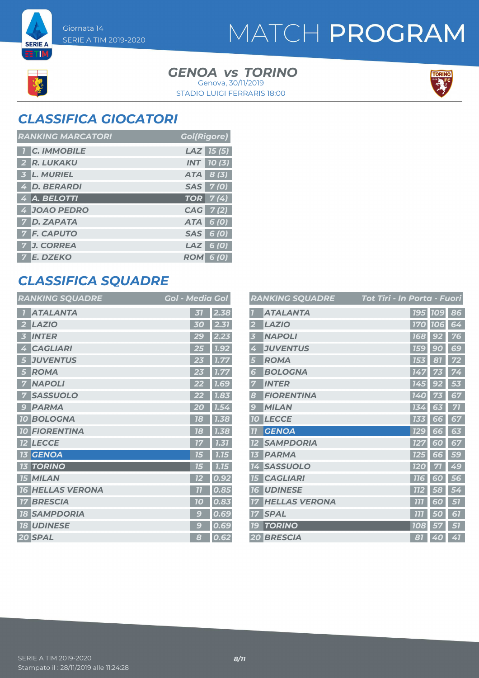**SERIE A ETM** 

> GENOA *vs* TORINO STADIO LUIGI FERRARIS 18:00 Genova, 30/11/2019



### *CLASSIFICA GIOCATORI*

| <b>RANKING MARCATORI</b> | <b>Gol(Rigore)</b> |
|--------------------------|--------------------|
| <b>T</b> C. IMMOBILE     | $LAZ$ 15 (5)       |
| 2 R. LUKAKU              | <b>INT</b> 10(3)   |
| 3 L. MURIEL              | ATA 8 (3)          |
| 4 D. BERARDI             | SAS 7(0)           |
| 4 A. BELOTTI             | <b>TOR</b> 7(4)    |
| 4 JOAO PEDRO             | CAG 7(2)           |
| 7 D. ZAPATA              | ATA 6 (0)          |
| <b>7 F. CAPUTO</b>       | SAS 6 (0)          |
| 7 J. CORREA              | $LAZ$ 6 (0)        |
| 7 E. DZEKO               | <b>ROM 6 (0)</b>   |

### *CLASSIFICA SQUADRE*

| <b>RANKING SQUADRE</b> | <b>Gol - Media Gol</b> |
|------------------------|------------------------|
| <b>ATALANTA</b>        | 2.38<br>31             |
| <b>LAZIO</b>           | 2.31                   |
| 2                      | 30                     |
| <b>INTER</b>           | 2.23                   |
| 3                      | 29                     |
| <b>CAGLIARI</b>        | 7.92                   |
| 4                      | 25                     |
| <b>JUVENTUS</b>        | 1.77                   |
| 5                      | 23                     |
| <b>ROMA</b>            | 1.77                   |
| 5                      | 23                     |
| <b>NAPOLI</b>          | <b>7.69</b>            |
| 7                      | 22                     |
| <b>SASSUOLO</b>        | 1.83                   |
| <b>PARMA</b>           | 20                     |
| 9                      | 1.54                   |
| <b>10 BOLOGNA</b>      | 78<br>1.38             |
| <b>10 FIORENTINA</b>   | 1.38<br>18             |
| <b>LECCE</b>           | 1.31                   |
| <b>12</b>              | 17                     |
| <b>GENOA</b>           | 7.75                   |
| 13                     | 75                     |
| <b>TORINO</b>          | 1.15                   |
| 13                     | 15                     |
| <b>15 MILAN</b>        | 0.92<br>12             |
| <b>HELLAS VERONA</b>   | 77                     |
| <b>16</b>              | 0.85                   |
| <b>BRESCIA</b>         | 0.83                   |
| 17                     | 70                     |
| <b>SAMPDORIA</b>       | 0.69                   |
| <b>18</b>              | g                      |
| <b>18 UDINESE</b>      | 0.69<br>g              |
| 20 SPAL                | 0.62<br>8              |

|           | <b>RANKING SQUADRE</b> | Tot Tiri - In Porta - Fuori |            |                |    |
|-----------|------------------------|-----------------------------|------------|----------------|----|
|           | <b>ATALANTA</b>        |                             |            | <b>195 109</b> | 86 |
|           | <b>LAZIO</b>           |                             |            | <b>170 106</b> | 64 |
| 3         | <b>NAPOLI</b>          |                             | <b>168</b> | 92             | 76 |
| 4         | <b>JUVENTUS</b>        |                             | <b>159</b> | 90             | 69 |
| 5         | <b>ROMA</b>            |                             | 153        | 87             | 72 |
| 6         | <b>BOLOGNA</b>         |                             | 147        | 73             | 74 |
|           | <b>INTER</b>           |                             | 145        | 92             | 53 |
| 8         | <b>FIORENTINA</b>      |                             | <b>140</b> |                | 67 |
| 9         | <b>MILAN</b>           |                             | 134        | 63             | 71 |
| <b>10</b> | <b>LECCE</b>           |                             | 133        | 66             | 67 |
| 77        | <b>GENOA</b>           |                             | <b>129</b> | 66             | 63 |
| 12        | <b>SAMPDORIA</b>       |                             | <b>127</b> | 60             | 67 |
| 13        | <b>PARMA</b>           |                             | 125        | 66             | 59 |
| 14        | <b>SASSUOLO</b>        |                             | <b>120</b> | 71             | 49 |
| 15        | <b>CAGLIARI</b>        |                             | <b>116</b> | 60             | 56 |
| 16        | <b>UDINESE</b>         |                             | <b>112</b> | 58             | 54 |
| 77        | <b>HELLAS VERONA</b>   |                             | 777        | 60             | 57 |
| 17        | <b>SPAL</b>            |                             | 777        | 50             | 61 |
| 79        | <b>TORINO</b>          |                             | 108        | 57             | 51 |
|           | <b>20 BRESCIA</b>      |                             | 81         | 40             | 41 |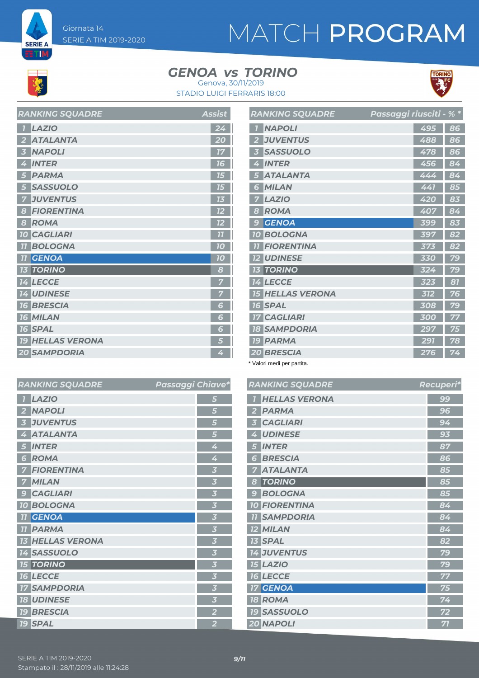

**SERIE A BTIM** 

#### GENOA *vs* TORINO Genova, 30/11/2019





| <b>LAZIO</b><br>$\overline{1}$ | $2\overline{4}$ |
|--------------------------------|-----------------|
| <b>ATALANTA</b><br>2           | 20              |
| <b>NAPOLI</b><br>5             | 17              |
| <b>INTER</b><br>4              | 16              |
| <b>PARMA</b><br>5              | 15              |
| <b>SASSUOLO</b><br>5           | 15              |
| <b>JUVENTUS</b><br>7           | 13              |
| <b>FIORENTINA</b><br>8         | 12              |
| <b>ROMA</b><br>8               | 12              |
| <b>10 CAGLIARI</b>             | 11              |
| <b>BOLOGNA</b><br><b>77</b>    | 10              |
| <b>11 GENOA</b>                | 10              |
| <b>13 TORINO</b>               | 8               |
| <b>14 LECCE</b>                | 7               |
| <b>14 UDINESE</b>              | 7               |
| <b>16 BRESCIA</b>              | 6               |
| <b>16 MILAN</b>                | 6               |
| <b>16 SPAL</b>                 | 6               |
| <b>19 HELLAS VERONA</b>        | 5               |
| <b>20 SAMPDORIA</b>            | 4               |

*RANKING SQUADRE* Assist

|                | <b>RANKING SQUADRE</b>  | Passaggi riusciti - |     | $\frac{1}{26}$ * |
|----------------|-------------------------|---------------------|-----|------------------|
|                | <b>NAPOLI</b>           |                     | 495 | 86               |
| $\overline{2}$ | <b>JUVENTUS</b>         |                     | 488 | 86               |
| 3              | <b>SASSUOLO</b>         |                     | 478 | 86               |
| 4              | <b>INTER</b>            |                     | 456 | 84               |
| 5              | <b>ATALANTA</b>         |                     | 444 | 84               |
| 6              | <b>MILAN</b>            |                     | 441 | 85               |
| 7              | <b>LAZIO</b>            |                     | 420 | 83               |
| 8              | <b>ROMA</b>             |                     | 407 | 84               |
| $\overline{S}$ | <b>GENOA</b>            |                     | 399 | 83               |
| 10             | <b>BOLOGNA</b>          |                     | 397 | 82               |
| 77             | <b>FIORENTINA</b>       |                     | 373 | 82               |
|                | <b>12 UDINESE</b>       |                     | 330 | 79               |
|                | <b>13 TORINO</b>        |                     | 324 | 79               |
|                | <b>14 LECCE</b>         |                     | 323 | 81               |
|                | <b>15 HELLAS VERONA</b> |                     | 312 | 76               |
|                | <b>16 SPAL</b>          |                     | 308 | 79               |
|                | <b>17 CAGLIARI</b>      |                     | 300 | 77               |
|                | <b>18 SAMPDORIA</b>     |                     | 297 | 75               |
|                | <b>19 PARMA</b>         |                     | 291 | 78               |
|                | <b>20 BRESCIA</b>       |                     | 276 | 74               |

\* Valori medi per partita.

| <b>RANKING SQUADRE</b> | Passaggi Chiave*        | <b>RANKINGS</b>    |
|------------------------|-------------------------|--------------------|
| <b>LAZIO</b>           | 5                       | <b>HELLAS</b>      |
| <b>NAPOLI</b>          | 5                       | <b>PARMA</b>       |
| <b>JUVENTUS</b>        | 5                       | <b>CAGLIA</b>      |
| <b>ATALANTA</b>        | $5\overline{5}$         | <b>UDINES</b>      |
| <b>INTER</b>           | 4                       | <b>INTER</b><br>ð  |
| <b>ROMA</b><br>6       | 4                       | <b>BRESCI</b><br>6 |
| <b>FIORENTINA</b>      | $\overline{\mathbf{3}}$ | <b>ATALAI</b>      |
| <b>MILAN</b>           | $\overline{3}$          | <b>TORINC</b><br>8 |
| <b>CAGLIARI</b>        | 3                       | <b>BOLOG</b>       |
| <b>10 BOLOGNA</b>      | $\overline{\mathbf{3}}$ | <b>10 FIOREN</b>   |
| <b>GENOA</b>           | $\overline{\mathbf{3}}$ | <b>11 SAMPD</b>    |
| <b>PARMA</b><br>11     | $\overline{\mathbf{3}}$ | <b>12 MILAN</b>    |
| <b>HELLAS VERONA</b>   | 3                       | <b>13 SPAL</b>     |
| <b>14 SASSUOLO</b>     | $\overline{\mathbf{3}}$ | 14 JUVENT          |
| <b>15 TORINO</b>       | $\overline{\mathbf{3}}$ | <b>15 LAZIO</b>    |
| <b>16 LECCE</b>        | $\overline{\mathbf{3}}$ | <b>16 LECCE</b>    |
| <b>17 SAMPDORIA</b>    | $\overline{\mathbf{3}}$ | <b>17 GENOA</b>    |
| <b>18 UDINESE</b>      | $\overline{\mathbf{3}}$ | <b>18 ROMA</b>     |
| <b>19 BRESCIA</b>      | $\overline{\mathbf{2}}$ | <b>19 SASSU</b>    |
| <b>19 SPAL</b>         | $\overline{2}$          | 20 NAPOL           |

|                         | <b>RANKING SQUADRE</b> | Recuperi* |
|-------------------------|------------------------|-----------|
| $\overline{I}$          | <b>HELLAS VERONA</b>   | 99        |
| $\overline{\mathbf{2}}$ | <b>PARMA</b>           | 96        |
| 3                       | <b>CAGLIARI</b>        | 94        |
| 4                       | <b>UDINESE</b>         | 93        |
| 5                       | <b>INTER</b>           | 87        |
| 6                       | <b>BRESCIA</b>         | 86        |
| 7                       | <b>ATALANTA</b>        | 85        |
| 8                       | <b>TORINO</b>          | 85        |
| 9                       | <b>BOLOGNA</b>         | 85        |
|                         | <b>10 FIORENTINA</b>   | 84        |
|                         | <b>II SAMPDORIA</b>    | 84        |
|                         | <b>12 MILAN</b>        | 84        |
|                         | <b>13 SPAL</b>         | 82        |
|                         | <b>14 JUVENTUS</b>     | 79        |
|                         | <b>15 LAZIO</b>        | 79        |
|                         | <b>16 LECCE</b>        | 77        |
|                         | <b>17 GENOA</b>        | 75        |
|                         | <b>18 ROMA</b>         | 74        |
|                         | <b>19 SASSUOLO</b>     | 72        |
|                         | 20 NAPOLI              | 71        |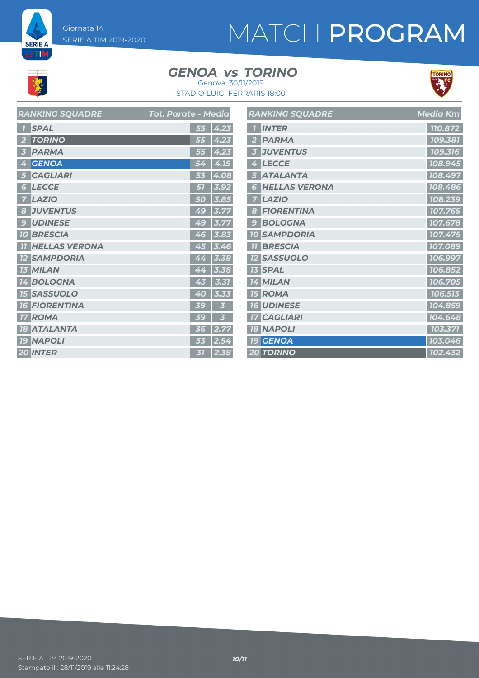Giornata 14 SERIE A TIM 2019-2020

# MATCH PROGRAM

# **K**

**SERIE A ETM** 

#### GENOA *vs* TORINO Genova, 30/11/2019



STADIO LUIGI FERRARIS 18:00

| <b>RANKING SQUADRE</b>  | <b>Tot. Parate - Media</b> | <b>RANKING SQUADRE</b> | <b>Media Km</b> |
|-------------------------|----------------------------|------------------------|-----------------|
| <b>1 SPAL</b>           | $55 \,   \, 4.23 \,$       | <b>1</b> INTER         | 110.872         |
| 2 TORINO                | $\overline{55}$ 4.23       | 2 PARMA                | 109.381         |
| 3 PARMA                 | 55 4.23                    | <b>3 JUVENTUS</b>      | 109.316         |
| 4 GENOA                 | 54 4.15                    | 4 LECCE                | 108.945         |
| <b>5 CAGLIARI</b>       | 53 4.08                    | 5 ATALANTA             | 108.497         |
| <b>6 LECCE</b>          | $51$ 3.92                  | <b>6 HELLAS VERONA</b> | 108.486         |
| <b>7 LAZIO</b>          | 50 3.85                    | <b>7 LAZIO</b>         | 108.239         |
| <b>8 JUVENTUS</b>       | 49 3.77                    | 8 FIORENTINA           | 107.765         |
| <b>9 UDINESE</b>        | 49 3.77                    | <b>9 BOLOGNA</b>       | 107.678         |
| <b>10 BRESCIA</b>       | $46$ 3.83                  | <b>10 SAMPDORIA</b>    | 107.475         |
| <b>11 HELLAS VERONA</b> | 45 3.46                    | <b>11 BRESCIA</b>      | 107.089         |
| <b>12 SAMPDORIA</b>     | 44 3.38                    | <b>12 SASSUOLO</b>     | 106.997         |
| <b>13 MILAN</b>         | 44 3.38                    | <b>13 SPAL</b>         | 106.852         |
| <b>14 BOLOGNA</b>       | $43$ 3.31                  | 14 MILAN               | 106.705         |
| <b>15 SASSUOLO</b>      | 40 3.33                    | <b>15 ROMA</b>         | 106.513         |
| <b>16 FIORENTINA</b>    | 39<br>$\overline{3}$       | <b>16 UDINESE</b>      | 104.859         |
| <b>17 ROMA</b>          | 3 <sup>7</sup><br>39       | <b>17 CAGLIARI</b>     | 104.648         |
| <b>18 ATALANTA</b>      | 36 2.77                    | <b>18 NAPOLI</b>       | 103.371         |
| <b>19 NAPOLI</b>        | $33 \mid 2.54$             | <b>19 GENOA</b>        | 103.046         |
| 20 INTER                | $31$ 2.38                  | <b>20 TORINO</b>       | 102.432         |